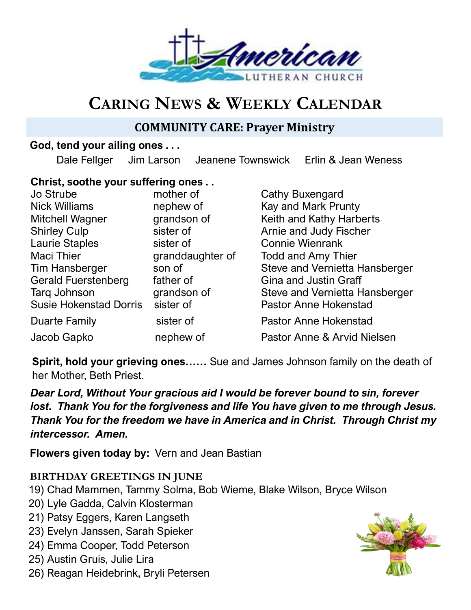

# **CARING NEWS & WEEKLY CALENDAR**

# **COMMUNITY CARE: Prayer Ministry**

### **God, tend your ailing ones . . .**

Dale Fellger Jim Larson Jeanene Townswick Erlin & Jean Weness

### **Christ, soothe your suffering ones . .**

| mother of        |
|------------------|
| nephew of        |
| grandson of      |
| sister of        |
| sister of        |
| granddaughter of |
| son of           |
| father of        |
| grandson of      |
| sister of        |
| sister of        |
| nephew of        |
|                  |

Cathy Buxengard Kay and Mark Prunty Keith and Kathy Harberts Arnie and Judy Fischer Connie Wienrank Todd and Amy Thier Steve and Vernietta Hansberger Gina and Justin Graff Steve and Vernietta Hansberger Pastor Anne Hokenstad Pastor Anne Hokenstad Pastor Anne & Arvid Nielsen

**Spirit, hold your grieving ones……** Sue and James Johnson family on the death of her Mother, Beth Priest.

*Dear Lord, Without Your gracious aid I would be forever bound to sin, forever lost. Thank You for the forgiveness and life You have given to me through Jesus. Thank You for the freedom we have in America and in Christ. Through Christ my intercessor. Amen.*

**Flowers given today by:** Vern and Jean Bastian

## **BIRTHDAY GREETINGS IN JUNE**

- 19) Chad Mammen, Tammy Solma, Bob Wieme, Blake Wilson, Bryce Wilson
- 20) Lyle Gadda, Calvin Klosterman
- 21) Patsy Eggers, Karen Langseth
- 23) Evelyn Janssen, Sarah Spieker
- 24) Emma Cooper, Todd Peterson
- 25) Austin Gruis, Julie Lira
- 26) Reagan Heidebrink, Bryli Petersen